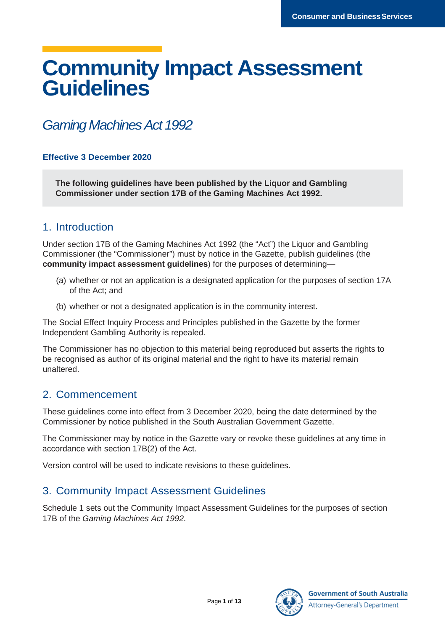# **Community Impact Assessment Guidelines**

## *Gaming Machines Act 1992*

#### **Effective 3 December 2020**

**The following guidelines have been published by the Liquor and Gambling Commissioner under section 17B of the Gaming Machines Act 1992.** 

## 1. Introduction

Under section 17B of the Gaming Machines Act 1992 (the "Act") the Liquor and Gambling Commissioner (the "Commissioner") must by notice in the Gazette, publish guidelines (the **community impact assessment guidelines**) for the purposes of determining—

- (a) whether or not an application is a designated application for the purposes of section 17A of the Act; and
- (b) whether or not a designated application is in the community interest.

The Social Effect Inquiry Process and Principles published in the Gazette by the former Independent Gambling Authority is repealed.

The Commissioner has no objection to this material being reproduced but asserts the rights to be recognised as author of its original material and the right to have its material remain unaltered.

## 2. Commencement

These guidelines come into effect from 3 December 2020, being the date determined by the Commissioner by notice published in the South Australian Government Gazette.

The Commissioner may by notice in the Gazette vary or revoke these guidelines at any time in accordance with section 17B(2) of the Act.

Version control will be used to indicate revisions to these guidelines.

## 3. Community Impact Assessment Guidelines

Schedule 1 sets out the Community Impact Assessment Guidelines for the purposes of section 17B of the *Gaming Machines Act 1992*.

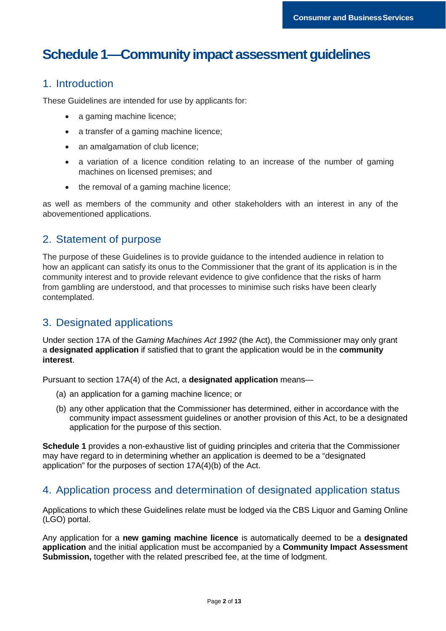## **Schedule 1—Community impact assessment guidelines**

### 1. Introduction

These Guidelines are intended for use by applicants for:

- a gaming machine licence;
- a transfer of a gaming machine licence;
- an amalgamation of club licence;
- a variation of a licence condition relating to an increase of the number of gaming machines on licensed premises; and
- the removal of a gaming machine licence;

as well as members of the community and other stakeholders with an interest in any of the abovementioned applications.

## 2. Statement of purpose

The purpose of these Guidelines is to provide guidance to the intended audience in relation to how an applicant can satisfy its onus to the Commissioner that the grant of its application is in the community interest and to provide relevant evidence to give confidence that the risks of harm from gambling are understood, and that processes to minimise such risks have been clearly contemplated.

## 3. Designated applications

Under section 17A of the *Gaming Machines Act 1992* (the Act), the Commissioner may only grant a **designated application** if satisfied that to grant the application would be in the **community interest**.

Pursuant to section 17A(4) of the Act, a **designated application** means—

- (a) an application for a gaming machine licence; or
- (b) any other application that the Commissioner has determined, either in accordance with the community impact assessment guidelines or another provision of this Act, to be a designated application for the purpose of this section.

**Schedule 1** provides a non-exhaustive list of guiding principles and criteria that the Commissioner may have regard to in determining whether an application is deemed to be a "designated application" for the purposes of section 17A(4)(b) of the Act.

### 4. Application process and determination of designated application status

Applications to which these Guidelines relate must be lodged via the CBS Liquor and Gaming Online (LGO) portal.

Any application for a **new gaming machine licence** is automatically deemed to be a **designated application** and the initial application must be accompanied by a **Community Impact Assessment Submission,** together with the related prescribed fee, at the time of lodgment.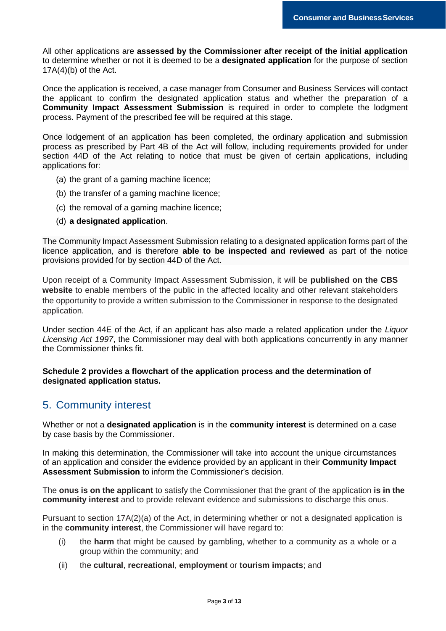All other applications are **assessed by the Commissioner after receipt of the initial application** to determine whether or not it is deemed to be a **designated application** for the purpose of section  $17A(4)$ (b) of the Act.

Once the application is received, a case manager from Consumer and Business Services will contact the applicant to confirm the designated application status and whether the preparation of a **Community Impact Assessment Submission** is required in order to complete the lodgment process. Payment of the prescribed fee will be required at this stage.

Once lodgement of an application has been completed, the ordinary application and submission process as prescribed by Part 4B of the Act will follow, including requirements provided for under section 44D of the Act relating to notice that must be given of certain applications, including applications for:

- (a) the grant of a gaming machine licence;
- (b) the transfer of a gaming machine licence;
- (c) the removal of a gaming machine licence;
- (d) **a designated application**.

The Community Impact Assessment Submission relating to a designated application forms part of the licence application, and is therefore **able to be inspected and reviewed** as part of the notice provisions provided for by section 44D of the Act.

Upon receipt of a Community Impact Assessment Submission, it will be **published on the CBS website** to enable members of the public in the affected locality and other relevant stakeholders the opportunity to provide a written submission to the Commissioner in response to the designated application.

Under section 44E of the Act, if an applicant has also made a related application under the *Liquor Licensing Act 1997*, the Commissioner may deal with both applications concurrently in any manner the Commissioner thinks fit.

#### **Schedule 2 provides a flowchart of the application process and the determination of designated application status.**

#### 5. Community interest

Whether or not a **designated application** is in the **community interest** is determined on a case by case basis by the Commissioner.

In making this determination, the Commissioner will take into account the unique circumstances of an application and consider the evidence provided by an applicant in their **Community Impact Assessment Submission** to inform the Commissioner's decision.

The **onus is on the applicant** to satisfy the Commissioner that the grant of the application **is in the community interest** and to provide relevant evidence and submissions to discharge this onus.

Pursuant to section 17A(2)(a) of the Act, in determining whether or not a designated application is in the **community interest**, the Commissioner will have regard to:

- (i) the **harm** that might be caused by gambling, whether to a community as a whole or a group within the community; and
- (ii) the **cultural**, **recreational**, **employment** or **tourism impacts**; and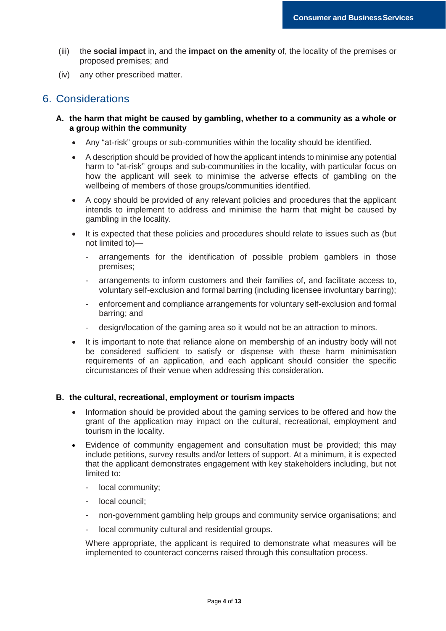- (iii) the **social impact** in, and the **impact on the amenity** of, the locality of the premises or proposed premises; and
- (iv) any other prescribed matter.

### 6. Considerations

- **A. the harm that might be caused by gambling, whether to a community as a whole or a group within the community** 
	- Any "at-risk" groups or sub-communities within the locality should be identified.
	- A description should be provided of how the applicant intends to minimise any potential harm to "at-risk" groups and sub-communities in the locality, with particular focus on how the applicant will seek to minimise the adverse effects of gambling on the wellbeing of members of those groups/communities identified.
	- A copy should be provided of any relevant policies and procedures that the applicant intends to implement to address and minimise the harm that might be caused by gambling in the locality.
	- It is expected that these policies and procedures should relate to issues such as (but not limited to)
		- arrangements for the identification of possible problem gamblers in those premises;
		- arrangements to inform customers and their families of, and facilitate access to, voluntary self-exclusion and formal barring (including licensee involuntary barring);
		- enforcement and compliance arrangements for voluntary self-exclusion and formal barring; and
		- design/location of the gaming area so it would not be an attraction to minors.
	- It is important to note that reliance alone on membership of an industry body will not be considered sufficient to satisfy or dispense with these harm minimisation requirements of an application, and each applicant should consider the specific circumstances of their venue when addressing this consideration.

#### **B. the cultural, recreational, employment or tourism impacts**

- Information should be provided about the gaming services to be offered and how the grant of the application may impact on the cultural, recreational, employment and tourism in the locality.
- Evidence of community engagement and consultation must be provided; this may include petitions, survey results and/or letters of support. At a minimum, it is expected that the applicant demonstrates engagement with key stakeholders including, but not limited to:
	- local community:
	- local council:
	- non-government gambling help groups and community service organisations; and
	- local community cultural and residential groups.

Where appropriate, the applicant is required to demonstrate what measures will be implemented to counteract concerns raised through this consultation process.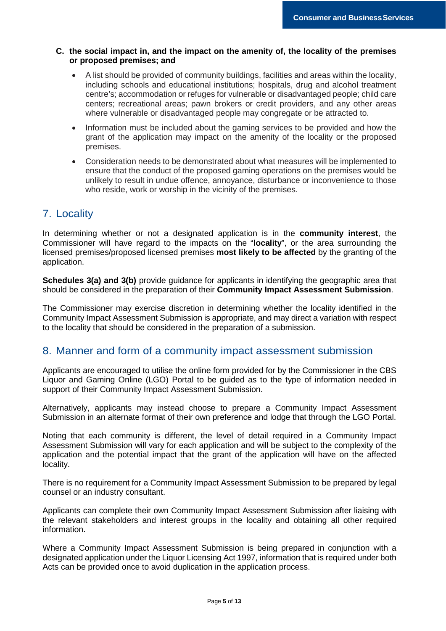#### **C. the social impact in, and the impact on the amenity of, the locality of the premises or proposed premises; and**

- A list should be provided of community buildings, facilities and areas within the locality, including schools and educational institutions; hospitals, drug and alcohol treatment centre's; accommodation or refuges for vulnerable or disadvantaged people; child care centers; recreational areas; pawn brokers or credit providers, and any other areas where vulnerable or disadvantaged people may congregate or be attracted to.
- Information must be included about the gaming services to be provided and how the grant of the application may impact on the amenity of the locality or the proposed premises.
- Consideration needs to be demonstrated about what measures will be implemented to ensure that the conduct of the proposed gaming operations on the premises would be unlikely to result in undue offence, annoyance, disturbance or inconvenience to those who reside, work or worship in the vicinity of the premises.

## 7. Locality

In determining whether or not a designated application is in the **community interest**, the Commissioner will have regard to the impacts on the "**locality**", or the area surrounding the licensed premises/proposed licensed premises **most likely to be affected** by the granting of the application.

**Schedules 3(a) and 3(b)** provide guidance for applicants in identifying the geographic area that should be considered in the preparation of their **Community Impact Assessment Submission**.

The Commissioner may exercise discretion in determining whether the locality identified in the Community Impact Assessment Submission is appropriate, and may direct a variation with respect to the locality that should be considered in the preparation of a submission.

### 8. Manner and form of a community impact assessment submission

Applicants are encouraged to utilise the online form provided for by the Commissioner in the CBS Liquor and Gaming Online (LGO) Portal to be guided as to the type of information needed in support of their Community Impact Assessment Submission.

Alternatively, applicants may instead choose to prepare a Community Impact Assessment Submission in an alternate format of their own preference and lodge that through the LGO Portal.

Noting that each community is different, the level of detail required in a Community Impact Assessment Submission will vary for each application and will be subject to the complexity of the application and the potential impact that the grant of the application will have on the affected locality.

There is no requirement for a Community Impact Assessment Submission to be prepared by legal counsel or an industry consultant.

Applicants can complete their own Community Impact Assessment Submission after liaising with the relevant stakeholders and interest groups in the locality and obtaining all other required information.

Where a Community Impact Assessment Submission is being prepared in conjunction with a designated application under the Liquor Licensing Act 1997, information that is required under both Acts can be provided once to avoid duplication in the application process.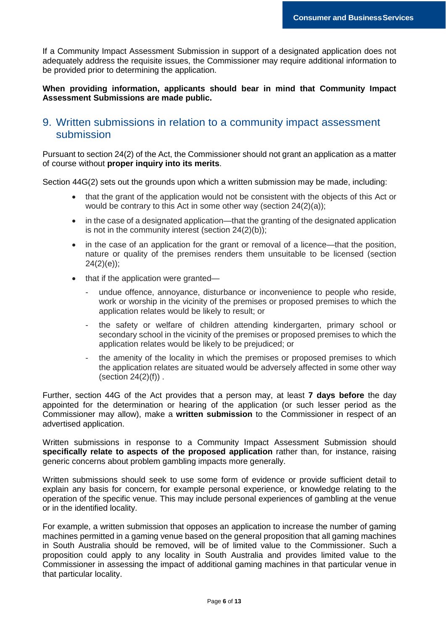If a Community Impact Assessment Submission in support of a designated application does not adequately address the requisite issues, the Commissioner may require additional information to be provided prior to determining the application.

#### **When providing information, applicants should bear in mind that Community Impact Assessment Submissions are made public.**

### 9. Written submissions in relation to a community impact assessment submission

Pursuant to section 24(2) of the Act, the Commissioner should not grant an application as a matter of course without **proper inquiry into its merits**.

Section 44G(2) sets out the grounds upon which a written submission may be made, including:

- that the grant of the application would not be consistent with the objects of this Act or would be contrary to this Act in some other way (section 24(2)(a));
- in the case of a designated application—that the granting of the designated application is not in the community interest (section 24(2)(b));
- in the case of an application for the grant or removal of a licence—that the position, nature or quality of the premises renders them unsuitable to be licensed (section  $24(2)(e)$ ;
- that if the application were granted
	- undue offence, annoyance, disturbance or inconvenience to people who reside, work or worship in the vicinity of the premises or proposed premises to which the application relates would be likely to result; or
	- the safety or welfare of children attending kindergarten, primary school or secondary school in the vicinity of the premises or proposed premises to which the application relates would be likely to be prejudiced; or
	- the amenity of the locality in which the premises or proposed premises to which the application relates are situated would be adversely affected in some other way (section  $24(2)(f)$ ).

Further, section 44G of the Act provides that a person may, at least **7 days before** the day appointed for the determination or hearing of the application (or such lesser period as the Commissioner may allow), make a **written submission** to the Commissioner in respect of an advertised application.

Written submissions in response to a Community Impact Assessment Submission should **specifically relate to aspects of the proposed application** rather than, for instance, raising generic concerns about problem gambling impacts more generally.

Written submissions should seek to use some form of evidence or provide sufficient detail to explain any basis for concern, for example personal experience, or knowledge relating to the operation of the specific venue. This may include personal experiences of gambling at the venue or in the identified locality.

For example, a written submission that opposes an application to increase the number of gaming machines permitted in a gaming venue based on the general proposition that all gaming machines in South Australia should be removed, will be of limited value to the Commissioner. Such a proposition could apply to any locality in South Australia and provides limited value to the Commissioner in assessing the impact of additional gaming machines in that particular venue in that particular locality.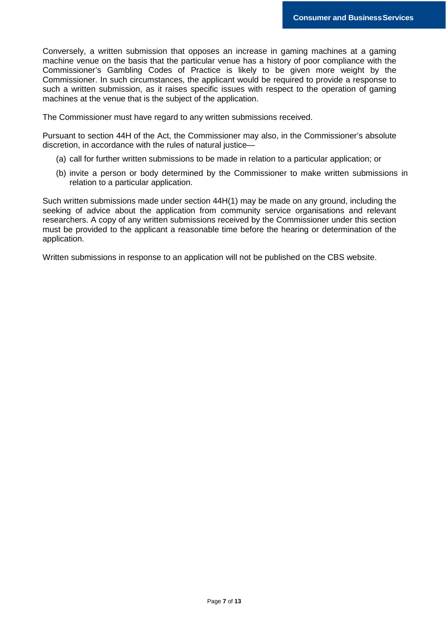Conversely, a written submission that opposes an increase in gaming machines at a gaming machine venue on the basis that the particular venue has a history of poor compliance with the Commissioner's Gambling Codes of Practice is likely to be given more weight by the Commissioner. In such circumstances, the applicant would be required to provide a response to such a written submission, as it raises specific issues with respect to the operation of gaming machines at the venue that is the subject of the application.

The Commissioner must have regard to any written submissions received.

Pursuant to section 44H of the Act, the Commissioner may also, in the Commissioner's absolute discretion, in accordance with the rules of natural justice—

- (a) call for further written submissions to be made in relation to a particular application; or
- (b) invite a person or body determined by the Commissioner to make written submissions in relation to a particular application.

Such written submissions made under section 44H(1) may be made on any ground, including the seeking of advice about the application from community service organisations and relevant researchers. A copy of any written submissions received by the Commissioner under this section must be provided to the applicant a reasonable time before the hearing or determination of the application.

Written submissions in response to an application will not be published on the CBS website.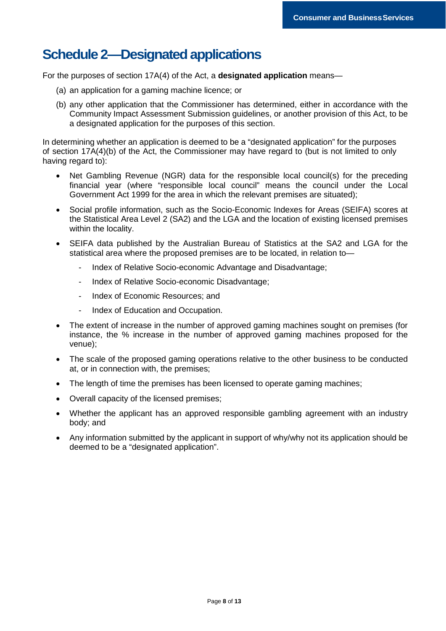## **Schedule 2—Designated applications**

For the purposes of section 17A(4) of the Act, a **designated application** means—

- (a) an application for a gaming machine licence; or
- (b) any other application that the Commissioner has determined, either in accordance with the Community Impact Assessment Submission guidelines, or another provision of this Act, to be a designated application for the purposes of this section.

In determining whether an application is deemed to be a "designated application" for the purposes of section 17A(4)(b) of the Act, the Commissioner may have regard to (but is not limited to only having regard to):

- Net Gambling Revenue (NGR) data for the responsible local council(s) for the preceding financial year (where "responsible local council" means the council under the Local Government Act 1999 for the area in which the relevant premises are situated);
- Social profile information, such as the Socio-Economic Indexes for Areas (SEIFA) scores at the Statistical Area Level 2 (SA2) and the LGA and the location of existing licensed premises within the locality.
- SEIFA data published by the Australian Bureau of Statistics at the SA2 and LGA for the statistical area where the proposed premises are to be located, in relation to—
	- Index of Relative Socio-economic Advantage and Disadvantage;
	- Index of Relative Socio-economic Disadvantage;
	- Index of Economic Resources; and
	- Index of Education and Occupation.
- The extent of increase in the number of approved gaming machines sought on premises (for instance, the % increase in the number of approved gaming machines proposed for the venue);
- The scale of the proposed gaming operations relative to the other business to be conducted at, or in connection with, the premises;
- The length of time the premises has been licensed to operate gaming machines;
- Overall capacity of the licensed premises;
- Whether the applicant has an approved responsible gambling agreement with an industry body; and
- Any information submitted by the applicant in support of why/why not its application should be deemed to be a "designated application".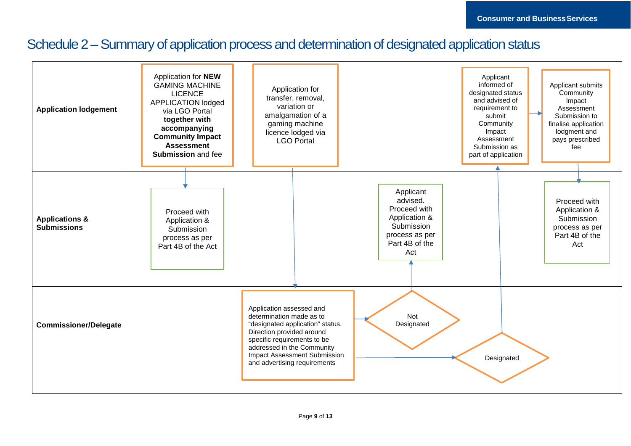## Schedule 2 – Summary of application process and determination of designated application status

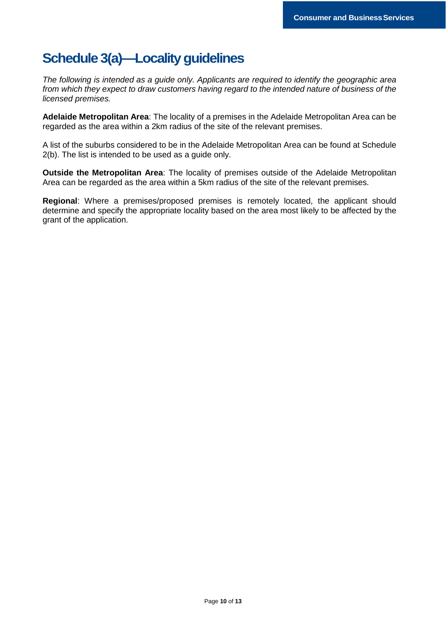## **Schedule 3(a)—Locality guidelines**

*The following is intended as a guide only. Applicants are required to identify the geographic area from which they expect to draw customers having regard to the intended nature of business of the licensed premises.* 

**Adelaide Metropolitan Area**: The locality of a premises in the Adelaide Metropolitan Area can be regarded as the area within a 2km radius of the site of the relevant premises.

A list of the suburbs considered to be in the Adelaide Metropolitan Area can be found at Schedule 2(b). The list is intended to be used as a guide only.

**Outside the Metropolitan Area**: The locality of premises outside of the Adelaide Metropolitan Area can be regarded as the area within a 5km radius of the site of the relevant premises.

**Regional**: Where a premises/proposed premises is remotely located, the applicant should determine and specify the appropriate locality based on the area most likely to be affected by the grant of the application.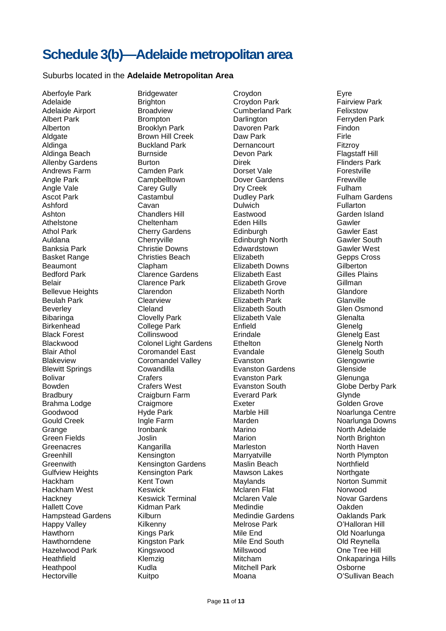## **Schedule 3(b)—Adelaide metropolitan area**

#### Suburbs located in the **Adelaide Metropolitan Area**

Aberfoyle Park **Bridgewater** Croydon Eyre Adelaide **Brighton** Brighton Croydon Park **Fairview Park** Adelaide Airport **Broadview** Cumberland Park Felixstow<br>Albert Park **Brompton** Brompton Darlington **Ferryden** Brompton **Darlington** Darlington Ferryden Park Brooklyn Park **Brooklyn** Alberton **Brooklyn Park** Davoren Park Aldgate **Brown Hill Creek** Daw Park **Firle** Aldinga Buckland Park Dernancourt Fitzroy Aldinga Beach Burnside Devon Park Flagstaff Hill Allenby Gardens Burton Burton Direk Direk Flinders Park<br>Andrews Farm Camden Park Dorset Vale Construite Andrews Farm Camden Park Dorset Vale Forestville Angle Park **Campbelltown** Dover Gardens **Frewville** Angle Vale Carey Gully Carey Gully Cureek Fulham<br>
Ascot Park Castambul Dudley Park Fulham Ashford **Cavan** Cavan Dulwich **Eularton** Fullarton Ashton Chandlers Hill Eastwood Garden Island Athelstone Cheltenham Eden Hills Gawler Athol Park **Cherry Gardens** Edinburgh Gawler East Auldana Cherryville Edinburgh North Gawler South Banksia Park Christie Downs Edwardstown Gawler West Basket Range Christies Beach Elizabeth Gepps Cross Beaumont Clapham Elizabeth Downs Gilberton Clarence Gardens Elizabeth East Gilles P<br>Clarence Park Elizabeth Grove Gillman Belair **Clarence Park** Elizabeth Grove Bellevue Heights Clarendon Elizabeth North Glandore Beulah Park Clearview Elizabeth Park Glanville Beverley Cleland Elizabeth South Glen Osmond Bibaringa Clovelly Park Elizabeth Vale Glenalta Birkenhead College Park Enfield Glenelg Black Forest Collinswood Erindale East Glenelg East<br>
Blackwood Colonel Light Gardens Ethelton Clenelg North Blackwood Colonel Light Gardens Ethelton Blair Athol Coromandel East Evandale<br>
Blakeview Coromandel Valley Evanston Coromandel Valley Evanston Coromandel Valley Coromandel Valley Evanston Glengowrie Blewitt Springs **Cowandilla** Evanston Gardens **Glenside** Bolivar Crafers Crafers Evanston Park Glenunga<br>Bowden Crafers West Evanston South Globe Der Bowden Crafers West Evanston South Globe Derby Park Bradbury **Craigburn Farm** Everard Park Glynde Brahma Lodge **Craigmore** Craigmore Exeter **Exeter** Golden Grove Goodwood Hyde Park Marble Hill Noarlunga Centre Gould Creek **Ingle Farm** Marden Marden Marden Noarlunga Downs Grange **Ironbank** Marino Marino North Adelaide Green Fields **Solution** Joslin **Marion** Marion Marion Morth Brighton Greenacres Kangarilla Marleston North Haven Kensington Marryatville Marryatville North Plympton<br>
Kensington Gardens Maslin Beach Northfield Greenwith Kensington Gardens Gulfview Heights **Kensington Park** Mawson Lakes Northgate Hackham Kent Town Maylands Norton Summit Hackham West Keswick Mclaren Flat Norwood Hackney Keswick Terminal Mclaren Vale Novar Gardens Hallett Cove Kidman Park Medindie Oakden Hampstead Gardens Kilburn Medindie Gardens Oaklands Park Happy Valley **Kilkenny** Melrose Park **O'Halloran Hill** Hawthorn Kings Park Mile End Old Noarlunga Hawthorndene Kingston Park Mile End South Old Reynella Hazelwood Park **Kingswood** Millswood Millswood One Tree Hill Heathfield Klemzig Mitcham Onkaparinga Hills Heathpool **Kudla** Kudla Mitchell Park Osborne Hectorville **Multipo Communist Communist Communist Communist Communist Communist Communist Communist Communist Communist Communist Communist Communist Communist Communist Communist Communist Communist Communist Communist** 

**Dudley Park Castambul Dudley Park Castambul Dudley Park Fulham Gardens**<br> **Castambul Dudley Pullarton**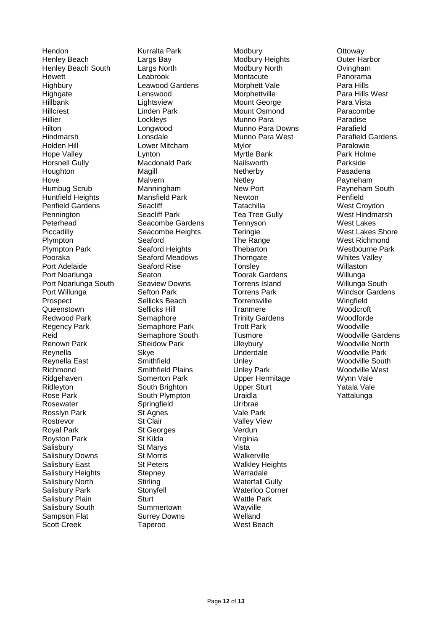Hendon Kurralta Park Modbury Ottoway Henley Beach Largs Bay Modbury Heights Outer Harbor Henley Beach South Largs North Modbury North Ovingham Hewett Leabrook Montacute Panorama Highbury **Leawood Gardens** Morphett Vale **Para Hills** Highgate **Lenswood** Lenswood Morphettville **Para Hills West**<br>
Hillbank Lightsview Mount George Para Vista Hillcrest Linden Park Mount Osmond Paracombe Hillier Lockleys Munno Para Paradise Hilton Longwood Munno Para Downs Parafield Hindmarsh Lonsdale Munno Para West Parafield Gardens Holden Hill Lower Mitcham Mylor Paralowie Hope Valley **Lynton Communist Communist Communist Communist Communist Communist Communist Communist Communist Communist Communist Communist Communist Communist Communist Communist Communist Communist Communist Communist** Horsnell Gully **Macdonald Park Machonald Park Nailsworth** Parkside Parkside<br>
Houghton Magill **Magill** Netherby Pasadena Houghton Magill Netherby Pasadena Hove **Malvern** Malvern **Netley Netley Netley Payneham** Humbug Scrub Manningham New Port Payneham South Huntfield Heights **Mansfield Park** Newton Newton Penfield Penfield Gardens Seacliff Tatachilla Tatachilla West Croydon Pennington **Seacliff Park** Tea Tree Gully West Hindmarsh Peterhead Seacombe Gardens Tennyson West Lakes Piccadilly **Seacombe Heights** Teringie **Network** West Lakes Shore Plympton Seaford The Range West Richmond Plympton Park Seaford Heights Thebarton Westbourne Park Pooraka Seaford Meadows Thorngate Whites Valley Port Adelaide Seaford Rise Tonsley Tonsley Willaston Port Noarlunga **Seaton** Seaton **Toorak Gardens** Willunga Port Noarlunga South Seaview Downs Torrens Island Willunga South Port Willunga **Sefton Park Torrens Park Windsor Gardens** Prospect Sellicks Beach Torrensville Wingfield Queenstown Sellicks Hill Tranmere Woodcroft Redwood Park Semaphore Trinity Gardens Woodforde Regency Park Semaphore Park Trott Park Woodville<br>Reid Semaphore South Tusmore Number Woodville Gardens Reid Semaphore South Tusmore Renown Park Sheidow Park Uleybury Uleybury Woodville North Reynella Skye Skye Underdale Woodville Park Reynella East **Smithfield Contained Unley Container Containers** Woodville South Richmond Smithfield Plains Unley Park Woodville West Ridgehaven Somerton Park Upper Hermitage Wynn Vale Ridleyton South Brighton Upper Sturt Yatala Vale Rose Park **South Plympton** Uraidla **Vattalunga** Yattalunga Rosewater Springfield Urrbrae Rosslyn Park St Agnes Vale Park Rostrevor St Clair Valley View Royal Park **St Georges** Verdun<br>
Royston Park **St Kilda** Virginia Royston Park St Kilda Salisbury St Marys St Marys Vista Salisbury Downs St Morris North Walkerville Salisbury East **St Peters** St Peters Walkley Heights Salisbury Heights Stepney Stepney Warradale Salisbury North Stirling Stirling Stirling Waterfall Gully Salisbury Park Stonyfell Waterloo Corner Salisbury Plain Sturt Sturt Wattle Park Salisbury South Summertown Wayville Sampson Flat Surrey Downs Welland Scott Creek Taperoo West Beach

Lightsview Mount George